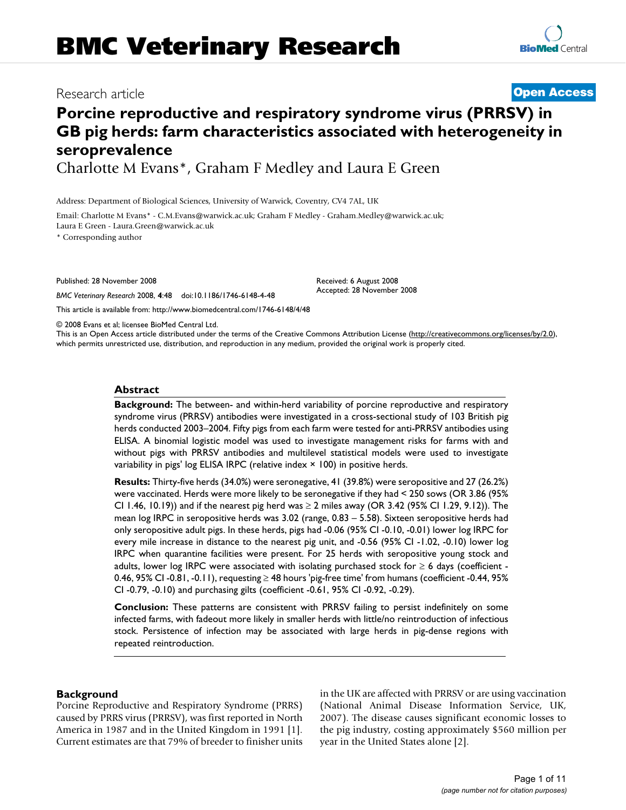# **Porcine reproductive and respiratory syndrome virus (PRRSV) in GB pig herds: farm characteristics associated with heterogeneity in seroprevalence**

Charlotte M Evans\*, Graham F Medley and Laura E Green

Address: Department of Biological Sciences, University of Warwick, Coventry, CV4 7AL, UK

Email: Charlotte M Evans\* - C.M.Evans@warwick.ac.uk; Graham F Medley - Graham.Medley@warwick.ac.uk; Laura E Green - Laura.Green@warwick.ac.uk

\* Corresponding author

Published: 28 November 2008

*BMC Veterinary Research* 2008, **4**:48 doi:10.1186/1746-6148-4-48

[This article is available from: http://www.biomedcentral.com/1746-6148/4/48](http://www.biomedcentral.com/1746-6148/4/48)

© 2008 Evans et al; licensee BioMed Central Ltd.

This is an Open Access article distributed under the terms of the Creative Commons Attribution License [\(http://creativecommons.org/licenses/by/2.0\)](http://creativecommons.org/licenses/by/2.0), which permits unrestricted use, distribution, and reproduction in any medium, provided the original work is properly cited.

# **Abstract**

**Background:** The between- and within-herd variability of porcine reproductive and respiratory syndrome virus (PRRSV) antibodies were investigated in a cross-sectional study of 103 British pig herds conducted 2003–2004. Fifty pigs from each farm were tested for anti-PRRSV antibodies using ELISA. A binomial logistic model was used to investigate management risks for farms with and without pigs with PRRSV antibodies and multilevel statistical models were used to investigate variability in pigs' log ELISA IRPC (relative index × 100) in positive herds.

**Results:** Thirty-five herds (34.0%) were seronegative, 41 (39.8%) were seropositive and 27 (26.2%) were vaccinated. Herds were more likely to be seronegative if they had < 250 sows (OR 3.86 (95% CI 1.46, 10.19)) and if the nearest pig herd was ≥ 2 miles away (OR 3.42 (95% CI 1.29, 9.12)). The mean log IRPC in seropositive herds was 3.02 (range, 0.83 – 5.58). Sixteen seropositive herds had only seropositive adult pigs. In these herds, pigs had -0.06 (95% CI -0.10, -0.01) lower log IRPC for every mile increase in distance to the nearest pig unit, and -0.56 (95% CI -1.02, -0.10) lower log IRPC when quarantine facilities were present. For 25 herds with seropositive young stock and adults, lower log IRPC were associated with isolating purchased stock for  $\geq 6$  days (coefficient -0.46, 95% CI -0.81, -0.11), requesting ≥ 48 hours 'pig-free time' from humans (coefficient -0.44, 95% CI -0.79, -0.10) and purchasing gilts (coefficient -0.61, 95% CI -0.92, -0.29).

**Conclusion:** These patterns are consistent with PRRSV failing to persist indefinitely on some infected farms, with fadeout more likely in smaller herds with little/no reintroduction of infectious stock. Persistence of infection may be associated with large herds in pig-dense regions with repeated reintroduction.

#### **Background**

Porcine Reproductive and Respiratory Syndrome (PRRS) caused by PRRS virus (PRRSV), was first reported in North America in 1987 and in the United Kingdom in 1991 [1]. Current estimates are that 79% of breeder to finisher units in the UK are affected with PRRSV or are using vaccination (National Animal Disease Information Service, UK, 2007). The disease causes significant economic losses to the pig industry, costing approximately \$560 million per year in the United States alone [2].

# Research article **[Open Access](http://www.biomedcentral.com/info/about/charter/)**

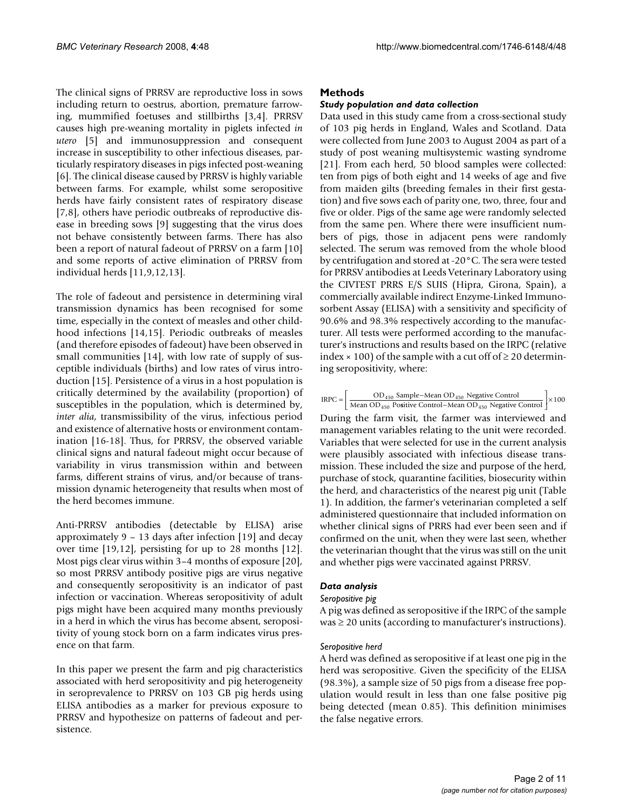The clinical signs of PRRSV are reproductive loss in sows including return to oestrus, abortion, premature farrowing, mummified foetuses and stillbirths [3,4]. PRRSV causes high pre-weaning mortality in piglets infected *in utero* [5] and immunosuppression and consequent increase in susceptibility to other infectious diseases, particularly respiratory diseases in pigs infected post-weaning [6]. The clinical disease caused by PRRSV is highly variable between farms. For example, whilst some seropositive herds have fairly consistent rates of respiratory disease [7,8], others have periodic outbreaks of reproductive disease in breeding sows [9] suggesting that the virus does not behave consistently between farms. There has also been a report of natural fadeout of PRRSV on a farm [10] and some reports of active elimination of PRRSV from individual herds [11,9,12,13].

The role of fadeout and persistence in determining viral transmission dynamics has been recognised for some time, especially in the context of measles and other childhood infections [14,15]. Periodic outbreaks of measles (and therefore episodes of fadeout) have been observed in small communities [14], with low rate of supply of susceptible individuals (births) and low rates of virus introduction [15]. Persistence of a virus in a host population is critically determined by the availability (proportion) of susceptibles in the population, which is determined by, *inter alia*, transmissibility of the virus, infectious period and existence of alternative hosts or environment contamination [16-18]. Thus, for PRRSV, the observed variable clinical signs and natural fadeout might occur because of variability in virus transmission within and between farms, different strains of virus, and/or because of transmission dynamic heterogeneity that results when most of the herd becomes immune.

Anti-PRRSV antibodies (detectable by ELISA) arise approximately 9 – 13 days after infection [19] and decay over time [19,12], persisting for up to 28 months [12]. Most pigs clear virus within 3–4 months of exposure [20], so most PRRSV antibody positive pigs are virus negative and consequently seropositivity is an indicator of past infection or vaccination. Whereas seropositivity of adult pigs might have been acquired many months previously in a herd in which the virus has become absent, seropositivity of young stock born on a farm indicates virus presence on that farm.

In this paper we present the farm and pig characteristics associated with herd seropositivity and pig heterogeneity in seroprevalence to PRRSV on 103 GB pig herds using ELISA antibodies as a marker for previous exposure to PRRSV and hypothesize on patterns of fadeout and persistence.

### **Methods**

#### *Study population and data collection*

Data used in this study came from a cross-sectional study of 103 pig herds in England, Wales and Scotland. Data were collected from June 2003 to August 2004 as part of a study of post weaning multisystemic wasting syndrome [21]. From each herd, 50 blood samples were collected: ten from pigs of both eight and 14 weeks of age and five from maiden gilts (breeding females in their first gestation) and five sows each of parity one, two, three, four and five or older. Pigs of the same age were randomly selected from the same pen. Where there were insufficient numbers of pigs, those in adjacent pens were randomly selected. The serum was removed from the whole blood by centrifugation and stored at -20°C. The sera were tested for PRRSV antibodies at Leeds Veterinary Laboratory using the CIVTEST PRRS E/S SUIS (Hipra, Girona, Spain), a commercially available indirect Enzyme-Linked Immunosorbent Assay (ELISA) with a sensitivity and specificity of 90.6% and 98.3% respectively according to the manufacturer. All tests were performed according to the manufacturer's instructions and results based on the IRPC (relative index  $\times$  100) of the sample with a cut off of  $\geq$  20 determining seropositivity, where:

$$
IRPC = \left[ \frac{OD_{450} \text{ Sample}-Mean \text{ OD}_{450} \text{ Negative Control}}{Mean \text{ OD}_{450} \text{ Positive Control}-Mean \text{ OD}_{450} \text{ Negative Control}} \right] \times 100
$$

During the farm visit, the farmer was interviewed and management variables relating to the unit were recorded. Variables that were selected for use in the current analysis were plausibly associated with infectious disease transmission. These included the size and purpose of the herd, purchase of stock, quarantine facilities, biosecurity within the herd, and characteristics of the nearest pig unit (Table 1). In addition, the farmer's veterinarian completed a self administered questionnaire that included information on whether clinical signs of PRRS had ever been seen and if confirmed on the unit, when they were last seen, whether the veterinarian thought that the virus was still on the unit and whether pigs were vaccinated against PRRSV.

#### *Data analysis*

#### *Seropositive pig*

A pig was defined as seropositive if the IRPC of the sample  $was \ge 20$  units (according to manufacturer's instructions).

#### *Seropositive herd*

A herd was defined as seropositive if at least one pig in the herd was seropositive. Given the specificity of the ELISA (98.3%), a sample size of 50 pigs from a disease free population would result in less than one false positive pig being detected (mean 0.85). This definition minimises the false negative errors.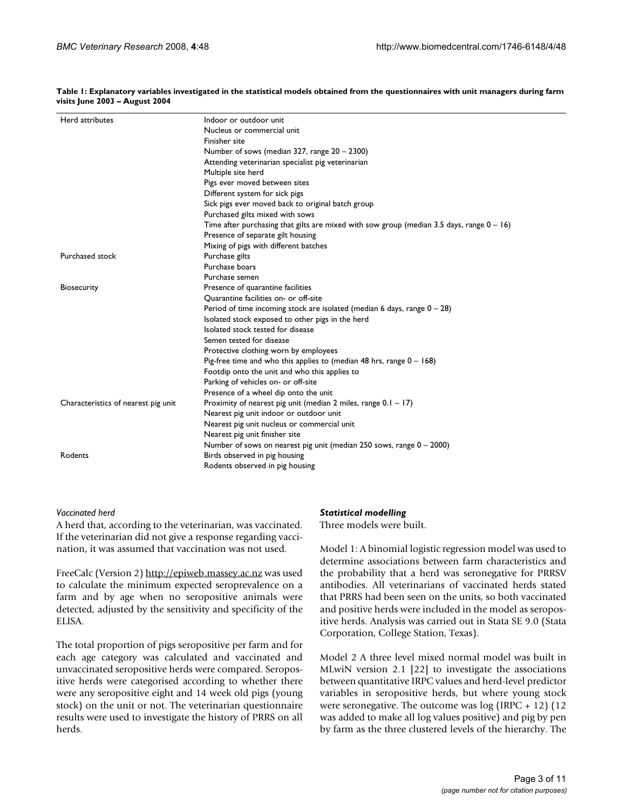**Table 1: Explanatory variables investigated in the statistical models obtained from the questionnaires with unit managers during farm visits June 2003 – August 2004**

| Herd attributes                     | Indoor or outdoor unit<br>Nucleus or commercial unit<br>Finisher site<br>Number of sows (median 327, range 20 - 2300)<br>Attending veterinarian specialist pig veterinarian<br>Multiple site herd<br>Pigs ever moved between sites<br>Different system for sick pigs<br>Sick pigs ever moved back to original batch group<br>Purchased gilts mixed with sows                                                                                                                                                                        |
|-------------------------------------|-------------------------------------------------------------------------------------------------------------------------------------------------------------------------------------------------------------------------------------------------------------------------------------------------------------------------------------------------------------------------------------------------------------------------------------------------------------------------------------------------------------------------------------|
|                                     | Time after purchasing that gilts are mixed with sow group (median 3.5 days, range $0 - 16$ )<br>Presence of separate gilt housing                                                                                                                                                                                                                                                                                                                                                                                                   |
| Purchased stock                     | Mixing of pigs with different batches<br>Purchase gilts<br>Purchase boars<br>Purchase semen                                                                                                                                                                                                                                                                                                                                                                                                                                         |
| Biosecurity                         | Presence of quarantine facilities<br>Quarantine facilities on- or off-site<br>Period of time incoming stock are isolated (median 6 days, range $0 - 28$ )<br>Isolated stock exposed to other pigs in the herd<br>Isolated stock tested for disease<br>Semen tested for disease<br>Protective clothing worn by employees<br>Pig-free time and who this applies to (median 48 hrs, range $0 - 168$ )<br>Footdip onto the unit and who this applies to<br>Parking of vehicles on- or off-site<br>Presence of a wheel dip onto the unit |
| Characteristics of nearest pig unit | Proximity of nearest pig unit (median 2 miles, range $0.1 - 17$ )<br>Nearest pig unit indoor or outdoor unit<br>Nearest pig unit nucleus or commercial unit<br>Nearest pig unit finisher site<br>Number of sows on nearest pig unit (median 250 sows, range $0 - 2000$ )                                                                                                                                                                                                                                                            |
| Rodents                             | Birds observed in pig housing<br>Rodents observed in pig housing                                                                                                                                                                                                                                                                                                                                                                                                                                                                    |

#### *Vaccinated herd*

A herd that, according to the veterinarian, was vaccinated. If the veterinarian did not give a response regarding vaccination, it was assumed that vaccination was not used.

FreeCalc (Version 2)<http://epiweb.massey.ac.nz>was used to calculate the minimum expected seroprevalence on a farm and by age when no seropositive animals were detected, adjusted by the sensitivity and specificity of the ELISA.

The total proportion of pigs seropositive per farm and for each age category was calculated and vaccinated and unvaccinated seropositive herds were compared. Seropositive herds were categorised according to whether there were any seropositive eight and 14 week old pigs (young stock) on the unit or not. The veterinarian questionnaire results were used to investigate the history of PRRS on all herds.

#### *Statistical modelling*

Three models were built.

Model 1: A binomial logistic regression model was used to determine associations between farm characteristics and the probability that a herd was seronegative for PRRSV antibodies. All veterinarians of vaccinated herds stated that PRRS had been seen on the units, so both vaccinated and positive herds were included in the model as seropositive herds. Analysis was carried out in Stata SE 9.0 (Stata Corporation, College Station, Texas).

Model 2 A three level mixed normal model was built in MLwiN version 2.1 [22] to investigate the associations between quantitative IRPC values and herd-level predictor variables in seropositive herds, but where young stock were seronegative. The outcome was  $log (IRPC + 12)$  (12) was added to make all log values positive) and pig by pen by farm as the three clustered levels of the hierarchy. The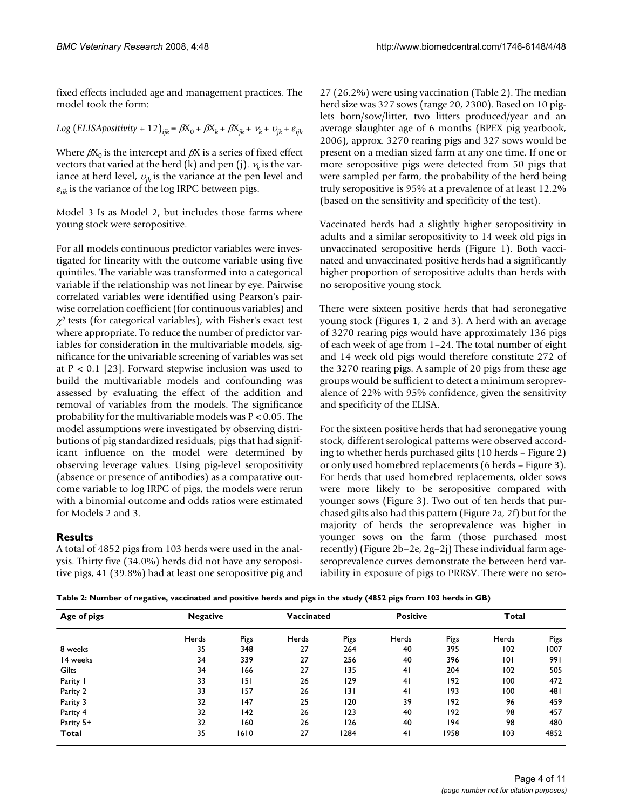fixed effects included age and management practices. The model took the form:

$$
Log (ELISA \text{positivity} + 12)_{ijk} = \beta X_0 + \beta X_k + \beta X_{jk} + \nu_k + \nu_{jk} + e_{ijk}
$$

Where  $\beta X_0$  is the intercept and  $\beta X$  is a series of fixed effect vectors that varied at the herd (k) and pen (j).  $v_k$  is the variance at herd level,  $v_{ik}$  is the variance at the pen level and  $e_{ijk}$  is the variance of the log IRPC between pigs.

Model 3 Is as Model 2, but includes those farms where young stock were seropositive.

For all models continuous predictor variables were investigated for linearity with the outcome variable using five quintiles. The variable was transformed into a categorical variable if the relationship was not linear by eye. Pairwise correlated variables were identified using Pearson's pairwise correlation coefficient (for continuous variables) and  $\chi^2$  tests (for categorical variables), with Fisher's exact test where appropriate. To reduce the number of predictor variables for consideration in the multivariable models, significance for the univariable screening of variables was set at  $P < 0.1$  [23]. Forward stepwise inclusion was used to build the multivariable models and confounding was assessed by evaluating the effect of the addition and removal of variables from the models. The significance probability for the multivariable models was P < 0.05. The model assumptions were investigated by observing distributions of pig standardized residuals; pigs that had significant influence on the model were determined by observing leverage values. Using pig-level seropositivity (absence or presence of antibodies) as a comparative outcome variable to log IRPC of pigs, the models were rerun with a binomial outcome and odds ratios were estimated for Models 2 and 3.

# **Results**

A total of 4852 pigs from 103 herds were used in the analysis. Thirty five (34.0%) herds did not have any seropositive pigs, 41 (39.8%) had at least one seropositive pig and 27 (26.2%) were using vaccination (Table 2). The median herd size was 327 sows (range 20, 2300). Based on 10 piglets born/sow/litter, two litters produced/year and an average slaughter age of 6 months (BPEX pig yearbook, 2006), approx. 3270 rearing pigs and 327 sows would be present on a median sized farm at any one time. If one or more seropositive pigs were detected from 50 pigs that were sampled per farm, the probability of the herd being truly seropositive is 95% at a prevalence of at least 12.2% (based on the sensitivity and specificity of the test).

Vaccinated herds had a slightly higher seropositivity in adults and a similar seropositivity to 14 week old pigs in unvaccinated seropositive herds (Figure 1). Both vaccinated and unvaccinated positive herds had a significantly higher proportion of seropositive adults than herds with no seropositive young stock.

There were sixteen positive herds that had seronegative young stock (Figures 1, 2 and 3). A herd with an average of 3270 rearing pigs would have approximately 136 pigs of each week of age from 1–24. The total number of eight and 14 week old pigs would therefore constitute 272 of the 3270 rearing pigs. A sample of 20 pigs from these age groups would be sufficient to detect a minimum seroprevalence of 22% with 95% confidence, given the sensitivity and specificity of the ELISA.

For the sixteen positive herds that had seronegative young stock, different serological patterns were observed according to whether herds purchased gilts (10 herds – Figure 2) or only used homebred replacements (6 herds – Figure 3). For herds that used homebred replacements, older sows were more likely to be seropositive compared with younger sows (Figure 3). Two out of ten herds that purchased gilts also had this pattern (Figure 2a, 2f) but for the majority of herds the seroprevalence was higher in younger sows on the farm (those purchased most recently) (Figure 2b–2e, 2g–2j) These individual farm ageseroprevalence curves demonstrate the between herd variability in exposure of pigs to PRRSV. There were no sero-

**Table 2: Number of negative, vaccinated and positive herds and pigs in the study (4852 pigs from 103 herds in GB)**

| Age of pigs | <b>Negative</b> |      | Vaccinated |      | <b>Positive</b> |      | Total |      |
|-------------|-----------------|------|------------|------|-----------------|------|-------|------|
|             | Herds           | Pigs | Herds      | Pigs | Herds           | Pigs | Herds | Pigs |
| 8 weeks     | 35              | 348  | 27         | 264  | 40              | 395  | 102   | 1007 |
| 14 weeks    | 34              | 339  | 27         | 256  | 40              | 396  | 101   | 991  |
| Gilts       | 34              | 166  | 27         | 135  | 41              | 204  | 102   | 505  |
| Parity I    | 33              | 151  | 26         | 129  | 41              | 192  | 100   | 472  |
| Parity 2    | 33              | 157  | 26         | 131  | 41              | 193  | 100   | 481  |
| Parity 3    | 32              | 147  | 25         | 120  | 39              | 192  | 96    | 459  |
| Parity 4    | 32              | 142  | 26         | 123  | 40              | 192  | 98    | 457  |
| Parity 5+   | 32              | 160  | 26         | 126  | 40              | 194  | 98    | 480  |
| Total       | 35              | 1610 | 27         | 1284 | 41              | 1958 | 103   | 4852 |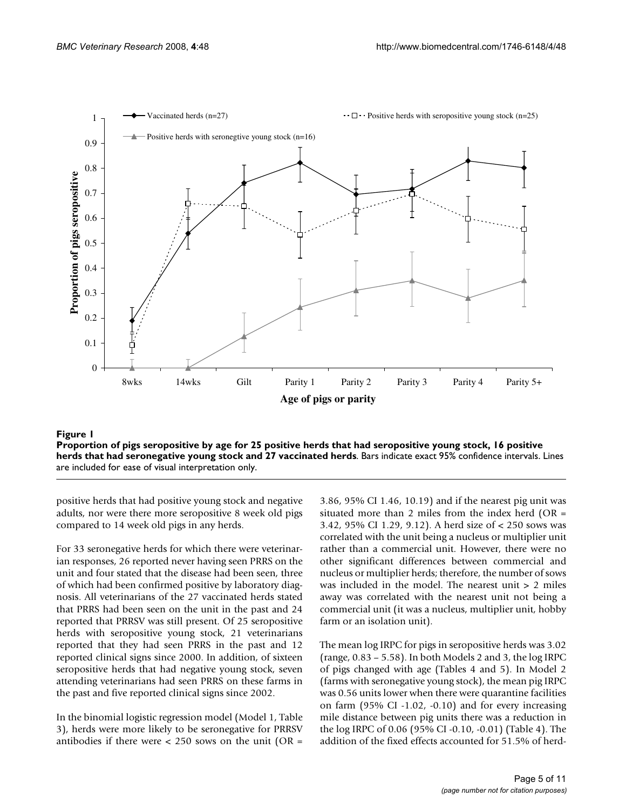

### Proportion of pigs seropositive by age fo seronegative young stoc **Figure 1** k and 27 vaccinated herds r 25 positive herds that had seropositive young stock, 16 positive herds that had **Proportion of pigs seropositive by age for 25 positive herds that had seropositive young stock, 16 positive herds that had seronegative young stock and 27 vaccinated herds**. Bars indicate exact 95% confidence intervals. Lines are included for ease of visual interpretation only.

positive herds that had positive young stock and negative adults, nor were there more seropositive 8 week old pigs compared to 14 week old pigs in any herds.

For 33 seronegative herds for which there were veterinarian responses, 26 reported never having seen PRRS on the unit and four stated that the disease had been seen, three of which had been confirmed positive by laboratory diagnosis. All veterinarians of the 27 vaccinated herds stated that PRRS had been seen on the unit in the past and 24 reported that PRRSV was still present. Of 25 seropositive herds with seropositive young stock, 21 veterinarians reported that they had seen PRRS in the past and 12 reported clinical signs since 2000. In addition, of sixteen seropositive herds that had negative young stock, seven attending veterinarians had seen PRRS on these farms in the past and five reported clinical signs since 2002.

In the binomial logistic regression model (Model 1, Table 3), herds were more likely to be seronegative for PRRSV antibodies if there were  $<$  250 sows on the unit (OR =

3.86, 95% CI 1.46, 10.19) and if the nearest pig unit was situated more than 2 miles from the index herd  $(OR =$ 3.42, 95% CI 1.29, 9.12). A herd size of < 250 sows was correlated with the unit being a nucleus or multiplier unit rather than a commercial unit. However, there were no other significant differences between commercial and nucleus or multiplier herds; therefore, the number of sows was included in the model. The nearest unit > 2 miles away was correlated with the nearest unit not being a commercial unit (it was a nucleus, multiplier unit, hobby farm or an isolation unit).

The mean log IRPC for pigs in seropositive herds was 3.02 (range, 0.83 – 5.58). In both Models 2 and 3, the log IRPC of pigs changed with age (Tables 4 and 5). In Model 2 (farms with seronegative young stock), the mean pig IRPC was 0.56 units lower when there were quarantine facilities on farm (95% CI -1.02, -0.10) and for every increasing mile distance between pig units there was a reduction in the log IRPC of 0.06 (95% CI -0.10, -0.01) (Table 4). The addition of the fixed effects accounted for 51.5% of herd-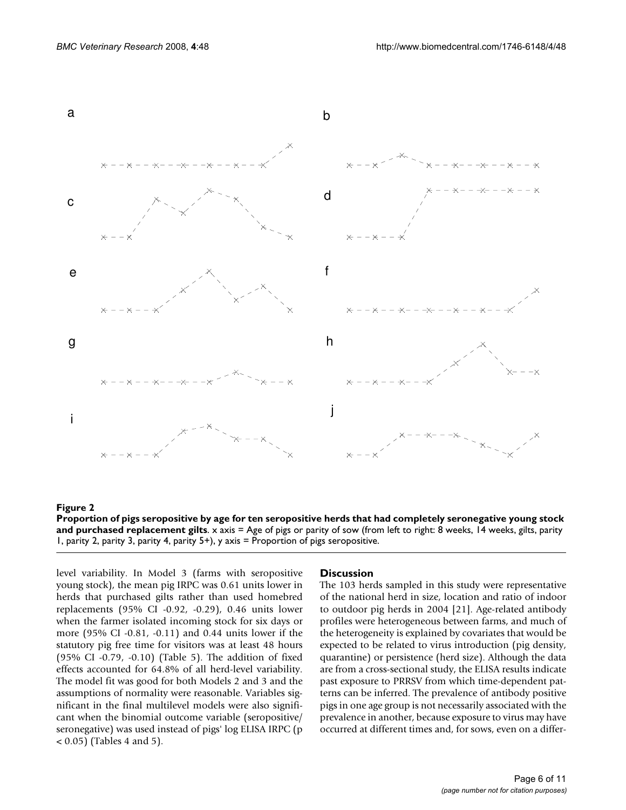

# replacement gilts **Figure 2** Proportion of pigs seropositive by age for ten seropositive herds that had completely seronegative young stock and purchased **Proportion of pigs seropositive by age for ten seropositive herds that had completely seronegative young stock and purchased replacement gilts**. x axis = Age of pigs or parity of sow (from left to right: 8 weeks, 14 weeks, gilts, parity 1, parity 2, parity 3, parity 4, parity 5+), y axis = Proportion of pigs seropositive.

level variability. In Model 3 (farms with seropositive young stock), the mean pig IRPC was 0.61 units lower in herds that purchased gilts rather than used homebred replacements (95% CI -0.92, -0.29), 0.46 units lower when the farmer isolated incoming stock for six days or more (95% CI -0.81, -0.11) and 0.44 units lower if the statutory pig free time for visitors was at least 48 hours (95% CI -0.79, -0.10) (Table 5). The addition of fixed effects accounted for 64.8% of all herd-level variability. The model fit was good for both Models 2 and 3 and the assumptions of normality were reasonable. Variables significant in the final multilevel models were also significant when the binomial outcome variable (seropositive/ seronegative) was used instead of pigs' log ELISA IRPC (p < 0.05) (Tables 4 and 5).

#### **Discussion**

The 103 herds sampled in this study were representative of the national herd in size, location and ratio of indoor to outdoor pig herds in 2004 [21]. Age-related antibody profiles were heterogeneous between farms, and much of the heterogeneity is explained by covariates that would be expected to be related to virus introduction (pig density, quarantine) or persistence (herd size). Although the data are from a cross-sectional study, the ELISA results indicate past exposure to PRRSV from which time-dependent patterns can be inferred. The prevalence of antibody positive pigs in one age group is not necessarily associated with the prevalence in another, because exposure to virus may have occurred at different times and, for sows, even on a differ-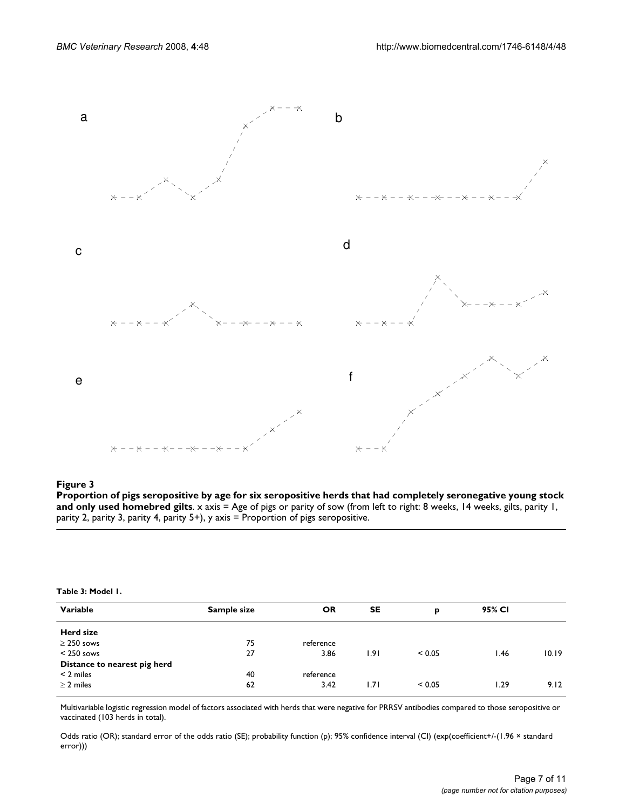

# homebred gilts **Figure 3** Proportion of pigs seropositive by age for six seropositive herds that had completely seronegative young stock and only used

**Proportion of pigs seropositive by age for six seropositive herds that had completely seronegative young stock and only used homebred gilts**. x axis = Age of pigs or parity of sow (from left to right: 8 weeks, 14 weeks, gilts, parity 1, parity 2, parity 3, parity 4, parity 5+), y axis = Proportion of pigs seropositive.

#### **Table 3: Model 1.**

| Variable                     | Sample size | <b>OR</b> | SE   | p      | 95% CI |       |
|------------------------------|-------------|-----------|------|--------|--------|-------|
| Herd size                    |             |           |      |        |        |       |
| $\geq$ 250 sows              | 75          | reference |      |        |        |       |
| $< 250$ sows                 | 27          | 3.86      | 1.91 | < 0.05 | l.46   | 10.19 |
| Distance to nearest pig herd |             |           |      |        |        |       |
| $<$ 2 miles                  | 40          | reference |      |        |        |       |
| $\geq$ 2 miles               | 62          | 3.42      | ا7۱. | < 0.05 | 0.29   | 9.12  |

Multivariable logistic regression model of factors associated with herds that were negative for PRRSV antibodies compared to those seropositive or vaccinated (103 herds in total).

Odds ratio (OR); standard error of the odds ratio (SE); probability function (p); 95% confidence interval (CI) (exp(coefficient+/-(1.96 × standard error)))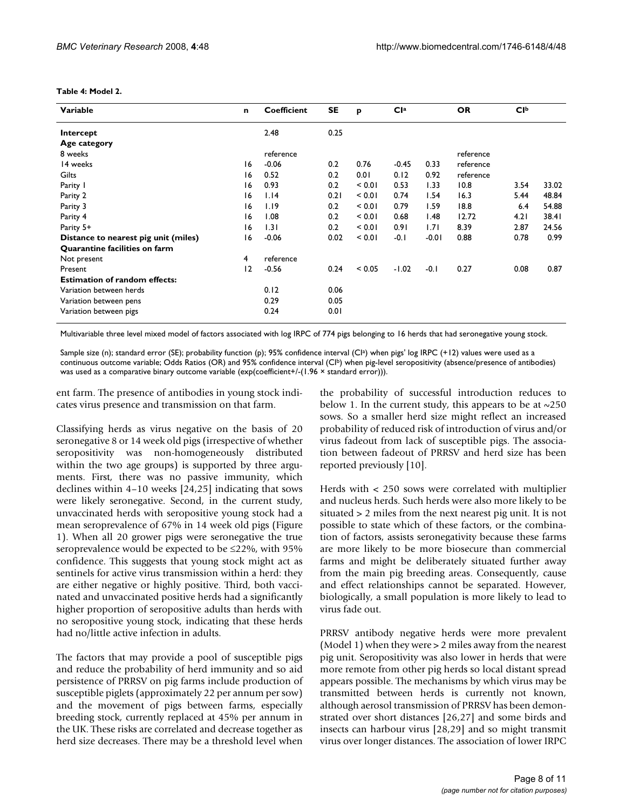# **Table 4: Model 2.**

| Variable                             | n  | <b>Coefficient</b> | SE   | p      | Cl <sup>a</sup> |         | <b>OR</b> | <b>CI</b> b |       |
|--------------------------------------|----|--------------------|------|--------|-----------------|---------|-----------|-------------|-------|
| Intercept                            |    | 2.48               | 0.25 |        |                 |         |           |             |       |
| Age category                         |    |                    |      |        |                 |         |           |             |       |
| 8 weeks                              |    | reference          |      |        |                 |         | reference |             |       |
| 14 weeks                             | 16 | $-0.06$            | 0.2  | 0.76   | $-0.45$         | 0.33    | reference |             |       |
| Gilts                                | 16 | 0.52               | 0.2  | 0.01   | 0.12            | 0.92    | reference |             |       |
| Parity I                             | 16 | 0.93               | 0.2  | < 0.01 | 0.53            | 1.33    | 10.8      | 3.54        | 33.02 |
| Parity 2                             | 16 | 1.14               | 0.21 | < 0.01 | 0.74            | 1.54    | 16.3      | 5.44        | 48.84 |
| Parity 3                             | 16 | 1.19               | 0.2  | < 0.01 | 0.79            | 1.59    | 18.8      | 6.4         | 54.88 |
| Parity 4                             | 16 | 1.08               | 0.2  | < 0.01 | 0.68            | 1.48    | 12.72     | 4.21        | 38.4I |
| Parity 5+                            | 16 | 1.31               | 0.2  | < 0.01 | 0.91            | 1.71    | 8.39      | 2.87        | 24.56 |
| Distance to nearest pig unit (miles) | 16 | $-0.06$            | 0.02 | < 0.01 | $-0.1$          | $-0.01$ | 0.88      | 0.78        | 0.99  |
| Quarantine facilities on farm        |    |                    |      |        |                 |         |           |             |       |
| Not present                          | 4  | reference          |      |        |                 |         |           |             |       |
| Present                              | 12 | $-0.56$            | 0.24 | < 0.05 | $-1.02$         | $-0.1$  | 0.27      | 0.08        | 0.87  |
| <b>Estimation of random effects:</b> |    |                    |      |        |                 |         |           |             |       |
| Variation between herds              |    | 0.12               | 0.06 |        |                 |         |           |             |       |
| Variation between pens               |    | 0.29               | 0.05 |        |                 |         |           |             |       |
| Variation between pigs               |    | 0.24               | 0.01 |        |                 |         |           |             |       |

Multivariable three level mixed model of factors associated with log IRPC of 774 pigs belonging to 16 herds that had seronegative young stock.

Sample size (n); standard error (SE); probability function (p); 95% confidence interval (CIa) when pigs' log IRPC (+12) values were used as a continuous outcome variable; Odds Ratios (OR) and 95% confidence interval (CIb) when pig-level seropositivity (absence/presence of antibodies) was used as a comparative binary outcome variable (exp(coefficient+/-(1.96  $\times$  standard error))).

ent farm. The presence of antibodies in young stock indicates virus presence and transmission on that farm.

Classifying herds as virus negative on the basis of 20 seronegative 8 or 14 week old pigs (irrespective of whether seropositivity was non-homogeneously distributed within the two age groups) is supported by three arguments. First, there was no passive immunity, which declines within 4–10 weeks [24,25] indicating that sows were likely seronegative. Second, in the current study, unvaccinated herds with seropositive young stock had a mean seroprevalence of 67% in 14 week old pigs (Figure 1). When all 20 grower pigs were seronegative the true seroprevalence would be expected to be ≤22%, with 95% confidence. This suggests that young stock might act as sentinels for active virus transmission within a herd: they are either negative or highly positive. Third, both vaccinated and unvaccinated positive herds had a significantly higher proportion of seropositive adults than herds with no seropositive young stock, indicating that these herds had no/little active infection in adults.

The factors that may provide a pool of susceptible pigs and reduce the probability of herd immunity and so aid persistence of PRRSV on pig farms include production of susceptible piglets (approximately 22 per annum per sow) and the movement of pigs between farms, especially breeding stock, currently replaced at 45% per annum in the UK. These risks are correlated and decrease together as herd size decreases. There may be a threshold level when

the probability of successful introduction reduces to below 1. In the current study, this appears to be at  $\sim$ 250 sows. So a smaller herd size might reflect an increased probability of reduced risk of introduction of virus and/or virus fadeout from lack of susceptible pigs. The association between fadeout of PRRSV and herd size has been reported previously [10].

Herds with < 250 sows were correlated with multiplier and nucleus herds. Such herds were also more likely to be situated > 2 miles from the next nearest pig unit. It is not possible to state which of these factors, or the combination of factors, assists seronegativity because these farms are more likely to be more biosecure than commercial farms and might be deliberately situated further away from the main pig breeding areas. Consequently, cause and effect relationships cannot be separated. However, biologically, a small population is more likely to lead to virus fade out.

PRRSV antibody negative herds were more prevalent (Model 1) when they were > 2 miles away from the nearest pig unit. Seropositivity was also lower in herds that were more remote from other pig herds so local distant spread appears possible. The mechanisms by which virus may be transmitted between herds is currently not known, although aerosol transmission of PRRSV has been demonstrated over short distances [26,27] and some birds and insects can harbour virus [28[,29](#page-10-0)] and so might transmit virus over longer distances. The association of lower IRPC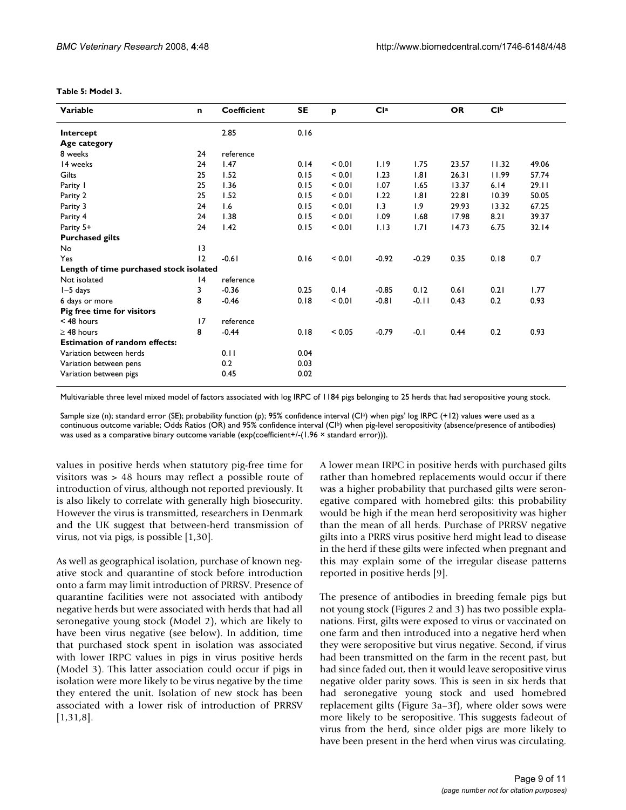| Variable                                | n  | <b>Coefficient</b> | SE   | p           | Cl <sup>a</sup> |         | <b>OR</b> | Clp   |       |
|-----------------------------------------|----|--------------------|------|-------------|-----------------|---------|-----------|-------|-------|
| Intercept                               |    | 2.85               | 0.16 |             |                 |         |           |       |       |
| Age category                            |    |                    |      |             |                 |         |           |       |       |
| 8 weeks                                 | 24 | reference          |      |             |                 |         |           |       |       |
| 14 weeks                                | 24 | 1.47               | 0.14 | < 0.01      | 1.19            | 1.75    | 23.57     | 11.32 | 49.06 |
| Gilts                                   | 25 | 1.52               | 0.15 | < 0.01      | 1.23            | 1.81    | 26.31     | 11.99 | 57.74 |
| Parity I                                | 25 | 1.36               | 0.15 | < 0.01      | 1.07            | 1.65    | 13.37     | 6.14  | 29.11 |
| Parity 2                                | 25 | 1.52               | 0.15 | < 0.01      | 1.22            | 1.81    | 22.81     | 10.39 | 50.05 |
| Parity 3                                | 24 | 1.6                | 0.15 | < 0.01      | 1.3             | 1.9     | 29.93     | 13.32 | 67.25 |
| Parity 4                                | 24 | 1.38               | 0.15 | < 0.01      | 1.09            | 1.68    | 17.98     | 8.21  | 39.37 |
| Parity 5+                               | 24 | 1.42               | 0.15 | < 0.01      | 1.13            | 1.71    | 14.73     | 6.75  | 32.14 |
| <b>Purchased gilts</b>                  |    |                    |      |             |                 |         |           |       |       |
| No                                      | 13 |                    |      |             |                 |         |           |       |       |
| Yes                                     | 12 | $-0.61$            | 0.16 | < 0.01      | $-0.92$         | $-0.29$ | 0.35      | 0.18  | 0.7   |
| Length of time purchased stock isolated |    |                    |      |             |                 |         |           |       |       |
| Not isolated                            | 4  | reference          |      |             |                 |         |           |       |       |
| $I - 5$ days                            | 3  | $-0.36$            | 0.25 | 0.14        | $-0.85$         | 0.12    | 0.61      | 0.21  | 1.77  |
| 6 days or more                          | 8  | $-0.46$            | 0.18 | < 0.01      | $-0.81$         | $-0.11$ | 0.43      | 0.2   | 0.93  |
| Pig free time for visitors              |    |                    |      |             |                 |         |           |       |       |
| $<$ 48 hours                            | 17 | reference          |      |             |                 |         |           |       |       |
| $\geq$ 48 hours                         | 8  | $-0.44$            | 0.18 | ${}_{0.05}$ | $-0.79$         | $-0.1$  | 0.44      | 0.2   | 0.93  |
| <b>Estimation of random effects:</b>    |    |                    |      |             |                 |         |           |       |       |
| Variation between herds                 |    | 0.11               | 0.04 |             |                 |         |           |       |       |
| Variation between pens                  |    | 0.2                | 0.03 |             |                 |         |           |       |       |
| Variation between pigs                  |    | 0.45               | 0.02 |             |                 |         |           |       |       |

#### **Table 5: Model 3.**

Multivariable three level mixed model of factors associated with log IRPC of 1184 pigs belonging to 25 herds that had seropositive young stock.

Sample size (n); standard error (SE); probability function (p); 95% confidence interval (CI<sup>a</sup>) when pigs' log IRPC (+12) values were used as a continuous outcome variable; Odds Ratios (OR) and 95% confidence interval (CIb) when pig-level seropositivity (absence/presence of antibodies) was used as a comparative binary outcome variable (exp(coefficient+/-(1.96 × standard error))).

values in positive herds when statutory pig-free time for visitors was > 48 hours may reflect a possible route of introduction of virus, although not reported previously. It is also likely to correlate with generally high biosecurity. However the virus is transmitted, researchers in Denmark and the UK suggest that between-herd transmission of virus, not via pigs, is possible [1,30].

As well as geographical isolation, purchase of known negative stock and quarantine of stock before introduction onto a farm may limit introduction of PRRSV. Presence of quarantine facilities were not associated with antibody negative herds but were associated with herds that had all seronegative young stock (Model 2), which are likely to have been virus negative (see below). In addition, time that purchased stock spent in isolation was associated with lower IRPC values in pigs in virus positive herds (Model 3). This latter association could occur if pigs in isolation were more likely to be virus negative by the time they entered the unit. Isolation of new stock has been associated with a lower risk of introduction of PRRSV [1,31,8].

A lower mean IRPC in positive herds with purchased gilts rather than homebred replacements would occur if there was a higher probability that purchased gilts were seronegative compared with homebred gilts: this probability would be high if the mean herd seropositivity was higher than the mean of all herds. Purchase of PRRSV negative gilts into a PRRS virus positive herd might lead to disease in the herd if these gilts were infected when pregnant and this may explain some of the irregular disease patterns reported in positive herds [9].

The presence of antibodies in breeding female pigs but not young stock (Figures 2 and 3) has two possible explanations. First, gilts were exposed to virus or vaccinated on one farm and then introduced into a negative herd when they were seropositive but virus negative. Second, if virus had been transmitted on the farm in the recent past, but had since faded out, then it would leave seropositive virus negative older parity sows. This is seen in six herds that had seronegative young stock and used homebred replacement gilts (Figure 3a–3f), where older sows were more likely to be seropositive. This suggests fadeout of virus from the herd, since older pigs are more likely to have been present in the herd when virus was circulating.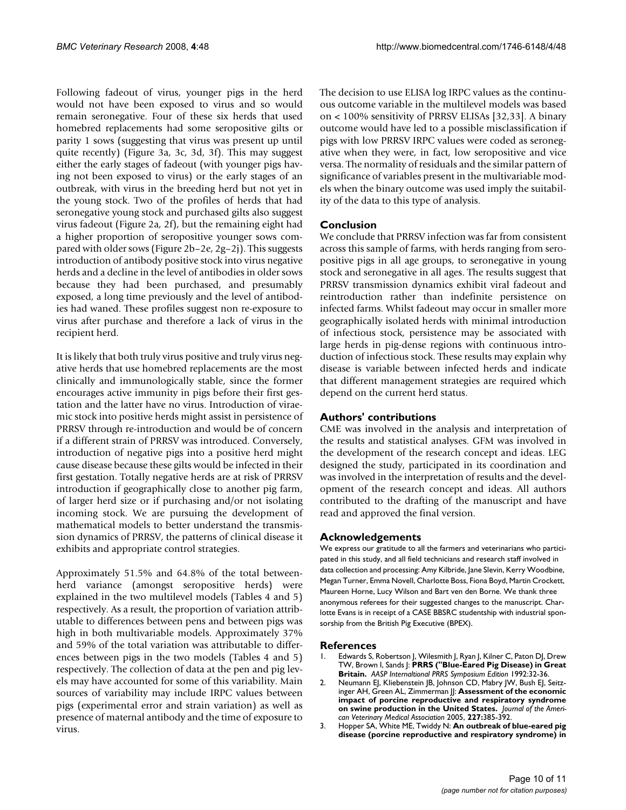Following fadeout of virus, younger pigs in the herd would not have been exposed to virus and so would remain seronegative. Four of these six herds that used homebred replacements had some seropositive gilts or parity 1 sows (suggesting that virus was present up until quite recently) (Figure 3a, 3c, 3d, 3f). This may suggest either the early stages of fadeout (with younger pigs having not been exposed to virus) or the early stages of an outbreak, with virus in the breeding herd but not yet in the young stock. Two of the profiles of herds that had seronegative young stock and purchased gilts also suggest virus fadeout (Figure 2a, 2f), but the remaining eight had a higher proportion of seropositive younger sows compared with older sows (Figure 2b–2e, 2g–2j). This suggests introduction of antibody positive stock into virus negative herds and a decline in the level of antibodies in older sows because they had been purchased, and presumably exposed, a long time previously and the level of antibodies had waned. These profiles suggest non re-exposure to virus after purchase and therefore a lack of virus in the recipient herd.

It is likely that both truly virus positive and truly virus negative herds that use homebred replacements are the most clinically and immunologically stable, since the former encourages active immunity in pigs before their first gestation and the latter have no virus. Introduction of viraemic stock into positive herds might assist in persistence of PRRSV through re-introduction and would be of concern if a different strain of PRRSV was introduced. Conversely, introduction of negative pigs into a positive herd might cause disease because these gilts would be infected in their first gestation. Totally negative herds are at risk of PRRSV introduction if geographically close to another pig farm, of larger herd size or if purchasing and/or not isolating incoming stock. We are pursuing the development of mathematical models to better understand the transmission dynamics of PRRSV, the patterns of clinical disease it exhibits and appropriate control strategies.

Approximately 51.5% and 64.8% of the total betweenherd variance (amongst seropositive herds) were explained in the two multilevel models (Tables 4 and 5) respectively. As a result, the proportion of variation attributable to differences between pens and between pigs was high in both multivariable models. Approximately 37% and 59% of the total variation was attributable to differences between pigs in the two models (Tables 4 and 5) respectively. The collection of data at the pen and pig levels may have accounted for some of this variability. Main sources of variability may include IRPC values between pigs (experimental error and strain variation) as well as presence of maternal antibody and the time of exposure to virus.

The decision to use ELISA log IRPC values as the continuous outcome variable in the multilevel models was based on < 100% sensitivity of PRRSV ELISAs [32,33]. A binary outcome would have led to a possible misclassification if pigs with low PRRSV IRPC values were coded as seronegative when they were, in fact, low seropositive and vice versa. The normality of residuals and the similar pattern of significance of variables present in the multivariable models when the binary outcome was used imply the suitability of the data to this type of analysis.

# **Conclusion**

We conclude that PRRSV infection was far from consistent across this sample of farms, with herds ranging from seropositive pigs in all age groups, to seronegative in young stock and seronegative in all ages. The results suggest that PRRSV transmission dynamics exhibit viral fadeout and reintroduction rather than indefinite persistence on infected farms. Whilst fadeout may occur in smaller more geographically isolated herds with minimal introduction of infectious stock, persistence may be associated with large herds in pig-dense regions with continuous introduction of infectious stock. These results may explain why disease is variable between infected herds and indicate that different management strategies are required which depend on the current herd status.

# **Authors' contributions**

CME was involved in the analysis and interpretation of the results and statistical analyses. GFM was involved in the development of the research concept and ideas. LEG designed the study, participated in its coordination and was involved in the interpretation of results and the development of the research concept and ideas. All authors contributed to the drafting of the manuscript and have read and approved the final version.

# **Acknowledgements**

We express our gratitude to all the farmers and veterinarians who participated in this study, and all field technicians and research staff involved in data collection and processing: Amy Kilbride, Jane Slevin, Kerry Woodbine, Megan Turner, Emma Novell, Charlotte Boss, Fiona Boyd, Martin Crockett, Maureen Horne, Lucy Wilson and Bart ven den Borne. We thank three anonymous referees for their suggested changes to the manuscript. Charlotte Evans is in receipt of a CASE BBSRC studentship with industrial sponsorship from the British Pig Executive (BPEX).

#### **References**

- 1. Edwards S, Robertson J, Wilesmith J, Ryan J, Kilner C, Paton DJ, Drew TW, Brown I, Sands J: **PRRS ("Blue-Eared Pig Disease) in Great Britain.** *AASP Internaltional PRRS Symposium Edition* 1992:32-36.
- 2. Neumann EJ, Kliebenstein JB, Johnson CD, Mabry JW, Bush EJ, Seitzinger AH, Green AL, Zimmerman JJ: **[Assessment of the economic](http://www.ncbi.nlm.nih.gov/entrez/query.fcgi?cmd=Retrieve&db=PubMed&dopt=Abstract&list_uids=16121604) [impact of porcine reproductive and respiratory syndrome](http://www.ncbi.nlm.nih.gov/entrez/query.fcgi?cmd=Retrieve&db=PubMed&dopt=Abstract&list_uids=16121604) [on swine production in the United States.](http://www.ncbi.nlm.nih.gov/entrez/query.fcgi?cmd=Retrieve&db=PubMed&dopt=Abstract&list_uids=16121604)** *Journal of the American Veterinary Medical Association* 2005, **227:**385-392.
- 3. Hopper SA, White ME, Twiddy N: **[An outbreak of blue-eared pig](http://www.ncbi.nlm.nih.gov/entrez/query.fcgi?cmd=Retrieve&db=PubMed&dopt=Abstract&list_uids=1413421) [disease \(porcine reproductive and respiratory syndrome\) in](http://www.ncbi.nlm.nih.gov/entrez/query.fcgi?cmd=Retrieve&db=PubMed&dopt=Abstract&list_uids=1413421)**